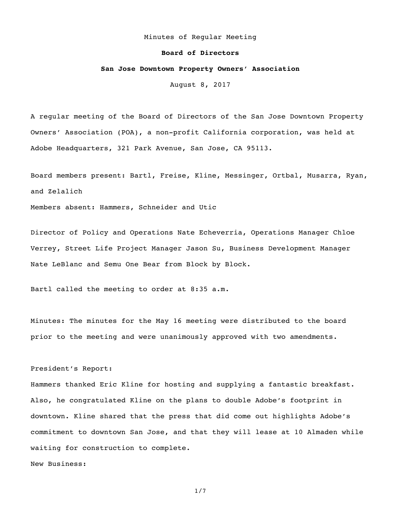### Minutes of Regular Meeting

### **Board of Directors**

# **San Jose Downtown Property Owners' Association**

August 8, 2017

A regular meeting of the Board of Directors of the San Jose Downtown Property Owners' Association (POA), a non-profit California corporation, was held at Adobe Headquarters, 321 Park Avenue, San Jose, CA 95113.

Board members present: Bartl, Freise, Kline, Messinger, Ortbal, Musarra, Ryan, and Zelalich

Members absent: Hammers, Schneider and Utic

Director of Policy and Operations Nate Echeverria, Operations Manager Chloe Verrey, Street Life Project Manager Jason Su, Business Development Manager Nate LeBlanc and Semu One Bear from Block by Block.

Bartl called the meeting to order at 8:35 a.m.

Minutes: The minutes for the May 16 meeting were distributed to the board prior to the meeting and were unanimously approved with two amendments.

## President's Report:

Hammers thanked Eric Kline for hosting and supplying a fantastic breakfast. Also, he congratulated Kline on the plans to double Adobe's footprint in downtown. Kline shared that the press that did come out highlights Adobe's commitment to downtown San Jose, and that they will lease at 10 Almaden while waiting for construction to complete.

New Business: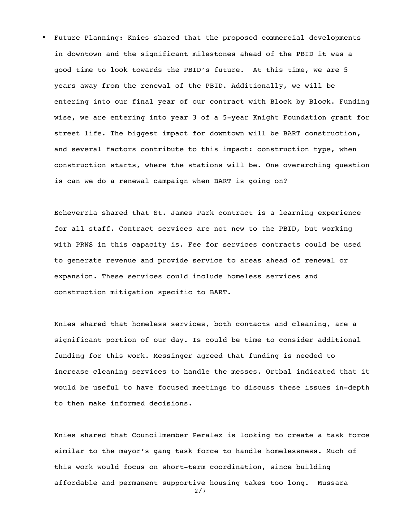• Future Planning: Knies shared that the proposed commercial developments in downtown and the significant milestones ahead of the PBID it was a good time to look towards the PBID's future. At this time, we are 5 years away from the renewal of the PBID. Additionally, we will be entering into our final year of our contract with Block by Block. Funding wise, we are entering into year 3 of a 5-year Knight Foundation grant for street life. The biggest impact for downtown will be BART construction, and several factors contribute to this impact: construction type, when construction starts, where the stations will be. One overarching question is can we do a renewal campaign when BART is going on?

Echeverria shared that St. James Park contract is a learning experience for all staff. Contract services are not new to the PBID, but working with PRNS in this capacity is. Fee for services contracts could be used to generate revenue and provide service to areas ahead of renewal or expansion. These services could include homeless services and construction mitigation specific to BART.

Knies shared that homeless services, both contacts and cleaning, are a significant portion of our day. Is could be time to consider additional funding for this work. Messinger agreed that funding is needed to increase cleaning services to handle the messes. Ortbal indicated that it would be useful to have focused meetings to discuss these issues in-depth to then make informed decisions.

Knies shared that Councilmember Peralez is looking to create a task force similar to the mayor's gang task force to handle homelessness. Much of this work would focus on short-term coordination, since building affordable and permanent supportive housing takes too long. Mussara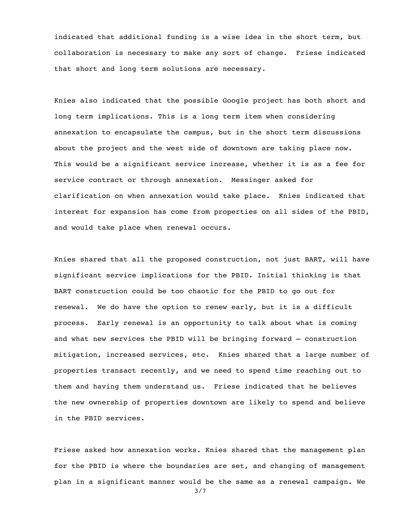indicated that additional funding is a wise idea in the short term, but collaboration is necessary to make any sort of change. Friese indicated that short and long term solutions are necessary.

Knies also indicated that the possible Google project has both short and long term implications. This is a long term item when considering annexation to encapsulate the campus, but in the short term discussions about the project and the west side of downtown are taking place now. This would be a significant service increase, whether it is as a fee for service contract or through annexation. Messinger asked for clarification on when annexation would take place. Knies indicated that interest for expansion has come from properties on all sides of the PBID, and would take place when renewal occurs.

Knies shared that all the proposed construction, not just BART, will have significant service implications for the PBID. Initial thinking is that BART construction could be too chaotic for the PBID to go out for renewal. We do have the option to renew early, but it is a difficult process. Early renewal is an opportunity to talk about what is coming and what new services the PBID will be bringing forward – construction mitigation, increased services, etc. Knies shared that a large number of properties transact recently, and we need to spend time reaching out to them and having them understand us. Friese indicated that he believes the new ownership of properties downtown are likely to spend and believe in the PBID services.

Friese asked how annexation works. Knies shared that the management plan for the PBID is where the boundaries are set, and changing of management plan in a significant manner would be the same as a renewal campaign. We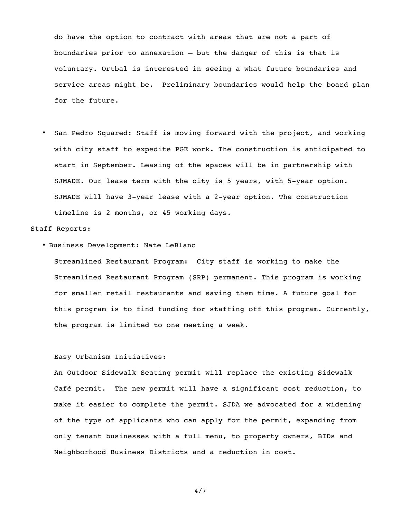do have the option to contract with areas that are not a part of boundaries prior to annexation – but the danger of this is that is voluntary. Ortbal is interested in seeing a what future boundaries and service areas might be. Preliminary boundaries would help the board plan for the future.

• San Pedro Squared: Staff is moving forward with the project, and working with city staff to expedite PGE work. The construction is anticipated to start in September. Leasing of the spaces will be in partnership with SJMADE. Our lease term with the city is 5 years, with 5-year option. SJMADE will have 3-year lease with a 2-year option. The construction timeline is 2 months, or 45 working days.

## Staff Reports:

• Business Development: Nate LeBlanc

Streamlined Restaurant Program: City staff is working to make the Streamlined Restaurant Program (SRP) permanent. This program is working for smaller retail restaurants and saving them time. A future goal for this program is to find funding for staffing off this program. Currently, the program is limited to one meeting a week.

# Easy Urbanism Initiatives:

An Outdoor Sidewalk Seating permit will replace the existing Sidewalk Café permit. The new permit will have a significant cost reduction, to make it easier to complete the permit. SJDA we advocated for a widening of the type of applicants who can apply for the permit, expanding from only tenant businesses with a full menu, to property owners, BIDs and Neighborhood Business Districts and a reduction in cost.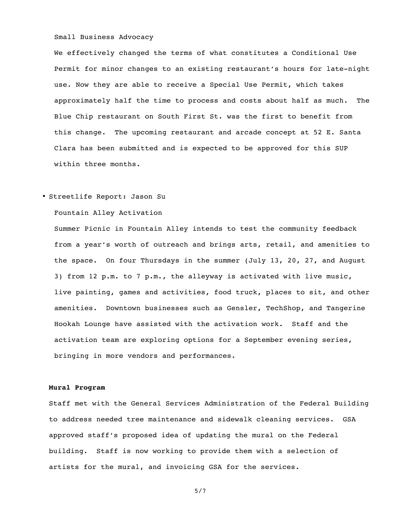## Small Business Advocacy

We effectively changed the terms of what constitutes a Conditional Use Permit for minor changes to an existing restaurant's hours for late-night use. Now they are able to receive a Special Use Permit, which takes approximately half the time to process and costs about half as much. The Blue Chip restaurant on South First St. was the first to benefit from this change. The upcoming restaurant and arcade concept at 52 E. Santa Clara has been submitted and is expected to be approved for this SUP within three months.

### • Streetlife Report: Jason Su

# Fountain Alley Activation

Summer Picnic in Fountain Alley intends to test the community feedback from a year's worth of outreach and brings arts, retail, and amenities to the space. On four Thursdays in the summer (July 13, 20, 27, and August 3) from 12 p.m. to 7 p.m., the alleyway is activated with live music, live painting, games and activities, food truck, places to sit, and other amenities. Downtown businesses such as Gensler, TechShop, and Tangerine Hookah Lounge have assisted with the activation work. Staff and the activation team are exploring options for a September evening series, bringing in more vendors and performances.

#### **Mural Program**

Staff met with the General Services Administration of the Federal Building to address needed tree maintenance and sidewalk cleaning services. GSA approved staff's proposed idea of updating the mural on the Federal building. Staff is now working to provide them with a selection of artists for the mural, and invoicing GSA for the services.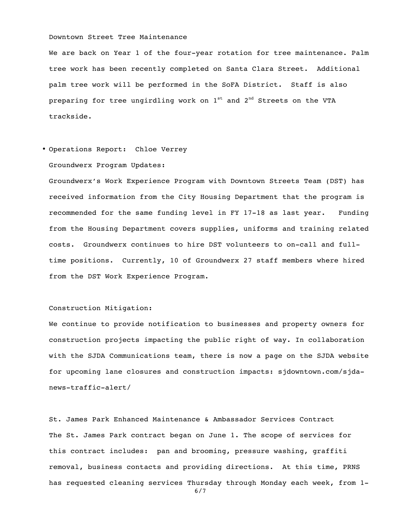## Downtown Street Tree Maintenance

We are back on Year 1 of the four-year rotation for tree maintenance. Palm tree work has been recently completed on Santa Clara Street. Additional palm tree work will be performed in the SoFA District. Staff is also preparing for tree ungirdling work on  $1<sup>st</sup>$  and  $2<sup>nd</sup>$  Streets on the VTA trackside.

### • Operations Report: Chloe Verrey

## Groundwerx Program Updates:

Groundwerx's Work Experience Program with Downtown Streets Team (DST) has received information from the City Housing Department that the program is recommended for the same funding level in FY 17-18 as last year. Funding from the Housing Department covers supplies, uniforms and training related costs. Groundwerx continues to hire DST volunteers to on-call and fulltime positions. Currently, 10 of Groundwerx 27 staff members where hired from the DST Work Experience Program.

### Construction Mitigation:

We continue to provide notification to businesses and property owners for construction projects impacting the public right of way. In collaboration with the SJDA Communications team, there is now a page on the SJDA website for upcoming lane closures and construction impacts: sjdowntown.com/sjdanews-traffic-alert/

St. James Park Enhanced Maintenance & Ambassador Services Contract The St. James Park contract began on June 1. The scope of services for this contract includes: pan and brooming, pressure washing, graffiti removal, business contacts and providing directions. At this time, PRNS has requested cleaning services Thursday through Monday each week, from 1-